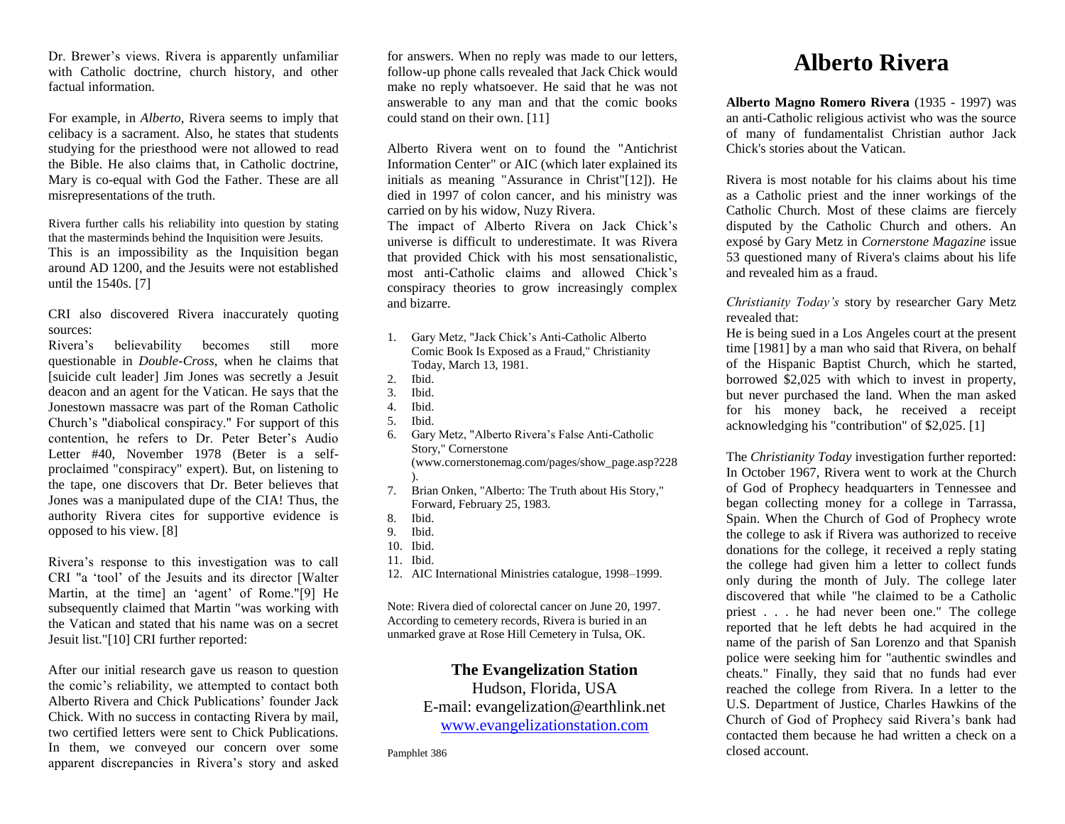Dr. Brewer's views. Rivera is apparently unfamiliar with Catholic doctrine, church history, and other factual information.

For example, in *Alberto*, Rivera seems to imply that celibacy is a sacrament. Also, he states that students studying for the priesthood were not allowed to read the Bible. He also claims that, in Catholic doctrine, Mary is co-equal with God the Father. These are all misrepresentations of the truth.

Rivera further calls his reliability into question by stating that the masterminds behind the Inquisition were Jesuits. This is an impossibility as the Inquisition began around AD 1200, and the Jesuits were not established until the 1540s. [7]

CRI also discovered Rivera inaccurately quoting sources:

Rivera's believability becomes still more questionable in *Double-Cross*, when he claims that [suicide cult leader] Jim Jones was secretly a Jesuit deacon and an agent for the Vatican. He says that the Jonestown massacre was part of the Roman Catholic Church's "diabolical conspiracy." For support of this contention, he refers to Dr. Peter Beter's Audio Letter #40, November 1978 (Beter is a selfproclaimed "conspiracy" expert). But, on listening to the tape, one discovers that Dr. Beter believes that Jones was a manipulated dupe of the CIA! Thus, the authority Rivera cites for supportive evidence is opposed to his view. [8]

Rivera's response to this investigation was to call CRI "a 'tool' of the Jesuits and its director [Walter Martin, at the time] an 'agent' of Rome."[9] He subsequently claimed that Martin "was working with the Vatican and stated that his name was on a secret Jesuit list."[10] CRI further reported:

After our initial research gave us reason to question the comic's reliability, we attempted to contact both Alberto Rivera and Chick Publications' founder Jack Chick. With no success in contacting Rivera by mail, two certified letters were sent to Chick Publications. In them, we conveyed our concern over some apparent discrepancies in Rivera's story and asked

for answers. When no reply was made to our letters, follow-up phone calls revealed that Jack Chick would make no reply whatsoever. He said that he was not answerable to any man and that the comic books could stand on their own. [11]

Alberto Rivera went on to found the "Antichrist Information Center" or AIC (which later explained its initials as meaning "Assurance in Christ"[12]). He died in 1997 of colon cancer, and his ministry was carried on by his widow, Nuzy Rivera.

The impact of Alberto Rivera on Jack Chick's universe is difficult to underestimate. It was Rivera that provided Chick with his most sensationalistic, most anti-Catholic claims and allowed Chick's conspiracy theories to grow increasingly complex and bizarre.

- 1. Gary Metz, "Jack Chick's Anti-Catholic Alberto Comic Book Is Exposed as a Fraud," Christianity Today, March 13, 1981.
- 2. Ibid.
- 3. Ibid.
- 4. Ibid.
- 5. Ibid.
- 6. Gary Metz, "Alberto Rivera's False Anti-Catholic Story," Cornerstone (www.cornerstonemag.com/pages/show\_page.asp?228 ).
- 7. Brian Onken, "Alberto: The Truth about His Story," Forward, February 25, 1983.
- 8. Ibid.
- 9. Ibid.
- 10. Ibid.
- 11. Ibid.
- 12. AIC International Ministries catalogue, 1998–1999.

Note: Rivera died of colorectal cancer on June 20, 1997. According to cemetery records, Rivera is buried in an unmarked grave at Rose Hill Cemetery in Tulsa, OK.

## **The Evangelization Station**

Hudson, Florida, USA E-mail: evangelization@earthlink.net [www.evangelizationstation.com](http://www.pjpiisoe.org/)

Pamphlet 386

## **Alberto Rivera**

**Alberto Magno Romero Rivera** (1935 - 1997) was an anti-Catholic religious activist who was the source of many of fundamentalist Christian author Jack Chick's stories about the Vatican.

Rivera is most notable for his claims about his time as a Catholic priest and the inner workings of the Catholic Church. Most of these claims are fiercely disputed by the Catholic Church and others. An exposé by Gary Metz in *Cornerstone Magazine* issue 53 questioned many of Rivera's claims about his life and revealed him as a fraud.

*Christianity Today's* story by researcher Gary Metz revealed that:

He is being sued in a Los Angeles court at the present time [1981] by a man who said that Rivera, on behalf of the Hispanic Baptist Church, which he started, borrowed \$2,025 with which to invest in property, but never purchased the land. When the man asked for his money back, he received a receipt acknowledging his "contribution" of \$2,025. [1]

The *Christianity Today* investigation further reported: In October 1967, Rivera went to work at the Church of God of Prophecy headquarters in Tennessee and began collecting money for a college in Tarrassa, Spain. When the Church of God of Prophecy wrote the college to ask if Rivera was authorized to receive donations for the college, it received a reply stating the college had given him a letter to collect funds only during the month of July. The college later discovered that while "he claimed to be a Catholic priest . . . he had never been one." The college reported that he left debts he had acquired in the name of the parish of San Lorenzo and that Spanish police were seeking him for "authentic swindles and cheats." Finally, they said that no funds had ever reached the college from Rivera. In a letter to the U.S. Department of Justice, Charles Hawkins of the Church of God of Prophecy said Rivera's bank had contacted them because he had written a check on a closed account.